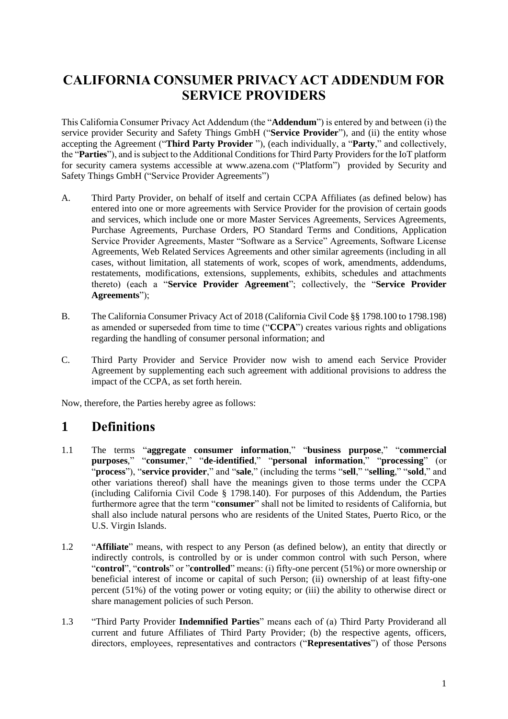#### **CALIFORNIA CONSUMER PRIVACY ACT ADDENDUM FOR SERVICE PROVIDERS**

This California Consumer Privacy Act Addendum (the "**Addendum**") is entered by and between (i) the service provider Security and Safety Things GmbH ("**Service Provider**"), and (ii) the entity whose accepting the Agreement ("**Third Party Provider** "), (each individually, a "**Party**," and collectively, the "**Parties**"), and is subject to the Additional Conditions for Third Party Providers for the IoT platform for security camera systems accessible at www.azena.com ("Platform") provided by Security and Safety Things GmbH ("Service Provider Agreements")

- A. Third Party Provider, on behalf of itself and certain CCPA Affiliates (as defined below) has entered into one or more agreements with Service Provider for the provision of certain goods and services, which include one or more Master Services Agreements, Services Agreements, Purchase Agreements, Purchase Orders, PO Standard Terms and Conditions, Application Service Provider Agreements, Master "Software as a Service" Agreements, Software License Agreements, Web Related Services Agreements and other similar agreements (including in all cases, without limitation, all statements of work, scopes of work, amendments, addendums, restatements, modifications, extensions, supplements, exhibits, schedules and attachments thereto) (each a "**Service Provider Agreement**"; collectively, the "**Service Provider Agreements**");
- B. The California Consumer Privacy Act of 2018 (California Civil Code §§ 1798.100 to 1798.198) as amended or superseded from time to time ("**CCPA**") creates various rights and obligations regarding the handling of consumer personal information; and
- C. Third Party Provider and Service Provider now wish to amend each Service Provider Agreement by supplementing each such agreement with additional provisions to address the impact of the CCPA, as set forth herein.

Now, therefore, the Parties hereby agree as follows:

#### **1 Definitions**

- 1.1 The terms "**aggregate consumer information**," "**business purpose**," "**commercial purposes**," "**consumer**," "**de-identified**," "**personal information**," "**processing**" (or "**process**"), "**service provider**," and "**sale**," (including the terms "**sell**," "**selling**," "**sold**," and other variations thereof) shall have the meanings given to those terms under the CCPA (including California Civil Code § 1798.140). For purposes of this Addendum, the Parties furthermore agree that the term "**consumer**" shall not be limited to residents of California, but shall also include natural persons who are residents of the United States, Puerto Rico, or the U.S. Virgin Islands.
- 1.2 "**Affiliate**" means, with respect to any Person (as defined below), an entity that directly or indirectly controls, is controlled by or is under common control with such Person, where "**control**", "**controls**" or "**controlled**" means: (i) fifty-one percent (51%) or more ownership or beneficial interest of income or capital of such Person; (ii) ownership of at least fifty-one percent (51%) of the voting power or voting equity; or (iii) the ability to otherwise direct or share management policies of such Person.
- 1.3 "Third Party Provider **Indemnified Parties**" means each of (a) Third Party Providerand all current and future Affiliates of Third Party Provider; (b) the respective agents, officers, directors, employees, representatives and contractors ("**Representatives**") of those Persons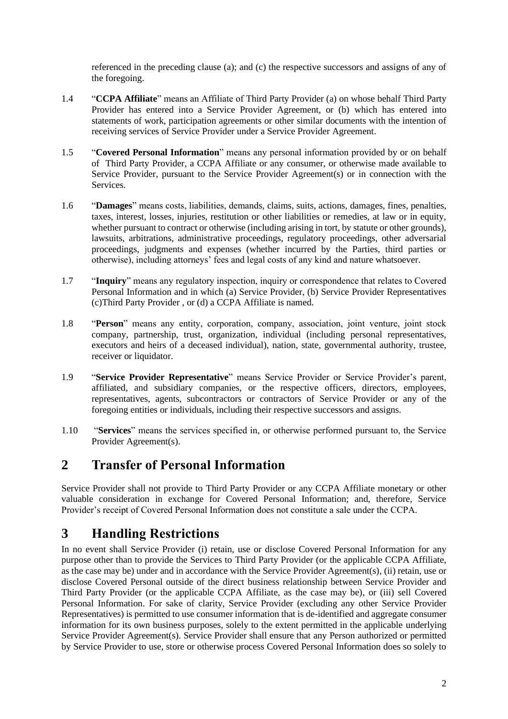referenced in the preceding clause (a); and (c) the respective successors and assigns of any of the foregoing.

- 1.4 "**CCPA Affiliate**" means an Affiliate of Third Party Provider (a) on whose behalf Third Party Provider has entered into a Service Provider Agreement, or (b) which has entered into statements of work, participation agreements or other similar documents with the intention of receiving services of Service Provider under a Service Provider Agreement.
- 1.5 "**Covered Personal Information**" means any personal information provided by or on behalf of Third Party Provider, a CCPA Affiliate or any consumer, or otherwise made available to Service Provider, pursuant to the Service Provider Agreement(s) or in connection with the Services.
- 1.6 "**Damages**" means costs, liabilities, demands, claims, suits, actions, damages, fines, penalties, taxes, interest, losses, injuries, restitution or other liabilities or remedies, at law or in equity, whether pursuant to contract or otherwise (including arising in tort, by statute or other grounds), lawsuits, arbitrations, administrative proceedings, regulatory proceedings, other adversarial proceedings, judgments and expenses (whether incurred by the Parties, third parties or otherwise), including attorneys' fees and legal costs of any kind and nature whatsoever.
- 1.7 "**Inquiry**" means any regulatory inspection, inquiry or correspondence that relates to Covered Personal Information and in which (a) Service Provider, (b) Service Provider Representatives (c)Third Party Provider , or (d) a CCPA Affiliate is named.
- 1.8 "**Person**" means any entity, corporation, company, association, joint venture, joint stock company, partnership, trust, organization, individual (including personal representatives, executors and heirs of a deceased individual), nation, state, governmental authority, trustee, receiver or liquidator.
- 1.9 "**Service Provider Representative**" means Service Provider or Service Provider's parent, affiliated, and subsidiary companies, or the respective officers, directors, employees, representatives, agents, subcontractors or contractors of Service Provider or any of the foregoing entities or individuals, including their respective successors and assigns.
- 1.10 "**Services**" means the services specified in, or otherwise performed pursuant to, the Service Provider Agreement(s).

#### **2 Transfer of Personal Information**

Service Provider shall not provide to Third Party Provider or any CCPA Affiliate monetary or other valuable consideration in exchange for Covered Personal Information; and, therefore, Service Provider's receipt of Covered Personal Information does not constitute a sale under the CCPA.

#### **3 Handling Restrictions**

In no event shall Service Provider (i) retain, use or disclose Covered Personal Information for any purpose other than to provide the Services to Third Party Provider (or the applicable CCPA Affiliate, as the case may be) under and in accordance with the Service Provider Agreement(s), (ii) retain, use or disclose Covered Personal outside of the direct business relationship between Service Provider and Third Party Provider (or the applicable CCPA Affiliate, as the case may be), or (iii) sell Covered Personal Information. For sake of clarity, Service Provider (excluding any other Service Provider Representatives) is permitted to use consumer information that is de-identified and aggregate consumer information for its own business purposes, solely to the extent permitted in the applicable underlying Service Provider Agreement(s). Service Provider shall ensure that any Person authorized or permitted by Service Provider to use, store or otherwise process Covered Personal Information does so solely to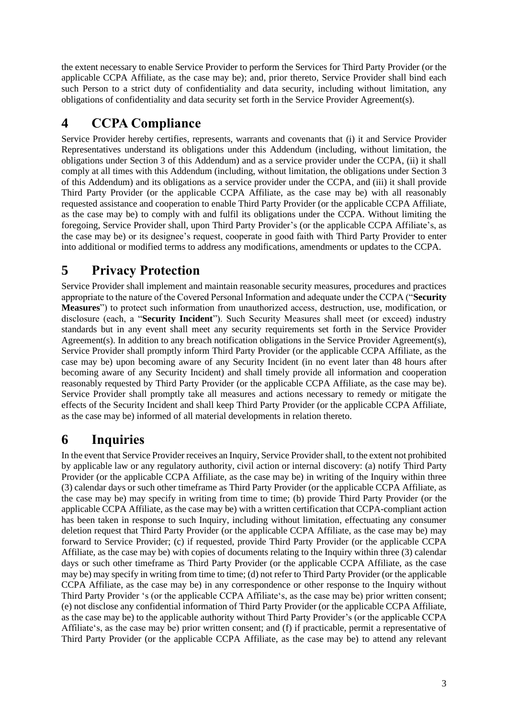the extent necessary to enable Service Provider to perform the Services for Third Party Provider (or the applicable CCPA Affiliate, as the case may be); and, prior thereto, Service Provider shall bind each such Person to a strict duty of confidentiality and data security, including without limitation, any obligations of confidentiality and data security set forth in the Service Provider Agreement(s).

#### **4 CCPA Compliance**

Service Provider hereby certifies, represents, warrants and covenants that (i) it and Service Provider Representatives understand its obligations under this Addendum (including, without limitation, the obligations under Section 3 of this Addendum) and as a service provider under the CCPA, (ii) it shall comply at all times with this Addendum (including, without limitation, the obligations under Section 3 of this Addendum) and its obligations as a service provider under the CCPA, and (iii) it shall provide Third Party Provider (or the applicable CCPA Affiliate, as the case may be) with all reasonably requested assistance and cooperation to enable Third Party Provider (or the applicable CCPA Affiliate, as the case may be) to comply with and fulfil its obligations under the CCPA. Without limiting the foregoing, Service Provider shall, upon Third Party Provider's (or the applicable CCPA Affiliate's, as the case may be) or its designee's request, cooperate in good faith with Third Party Provider to enter into additional or modified terms to address any modifications, amendments or updates to the CCPA.

#### **5 Privacy Protection**

Service Provider shall implement and maintain reasonable security measures, procedures and practices appropriate to the nature of the Covered Personal Information and adequate under the CCPA ("**Security Measures**") to protect such information from unauthorized access, destruction, use, modification, or disclosure (each, a "**Security Incident**"). Such Security Measures shall meet (or exceed) industry standards but in any event shall meet any security requirements set forth in the Service Provider Agreement(s). In addition to any breach notification obligations in the Service Provider Agreement(s), Service Provider shall promptly inform Third Party Provider (or the applicable CCPA Affiliate, as the case may be) upon becoming aware of any Security Incident (in no event later than 48 hours after becoming aware of any Security Incident) and shall timely provide all information and cooperation reasonably requested by Third Party Provider (or the applicable CCPA Affiliate, as the case may be). Service Provider shall promptly take all measures and actions necessary to remedy or mitigate the effects of the Security Incident and shall keep Third Party Provider (or the applicable CCPA Affiliate, as the case may be) informed of all material developments in relation thereto.

# **6 Inquiries**

In the event that Service Provider receives an Inquiry, Service Provider shall, to the extent not prohibited by applicable law or any regulatory authority, civil action or internal discovery: (a) notify Third Party Provider (or the applicable CCPA Affiliate, as the case may be) in writing of the Inquiry within three (3) calendar days or such other timeframe as Third Party Provider (or the applicable CCPA Affiliate, as the case may be) may specify in writing from time to time; (b) provide Third Party Provider (or the applicable CCPA Affiliate, as the case may be) with a written certification that CCPA-compliant action has been taken in response to such Inquiry, including without limitation, effectuating any consumer deletion request that Third Party Provider (or the applicable CCPA Affiliate, as the case may be) may forward to Service Provider; (c) if requested, provide Third Party Provider (or the applicable CCPA Affiliate, as the case may be) with copies of documents relating to the Inquiry within three (3) calendar days or such other timeframe as Third Party Provider (or the applicable CCPA Affiliate, as the case may be) may specify in writing from time to time; (d) not refer to Third Party Provider (or the applicable CCPA Affiliate, as the case may be) in any correspondence or other response to the Inquiry without Third Party Provider 's (or the applicable CCPA Affiliate's, as the case may be) prior written consent; (e) not disclose any confidential information of Third Party Provider (or the applicable CCPA Affiliate, as the case may be) to the applicable authority without Third Party Provider's (or the applicable CCPA Affiliate's, as the case may be) prior written consent; and (f) if practicable, permit a representative of Third Party Provider (or the applicable CCPA Affiliate, as the case may be) to attend any relevant